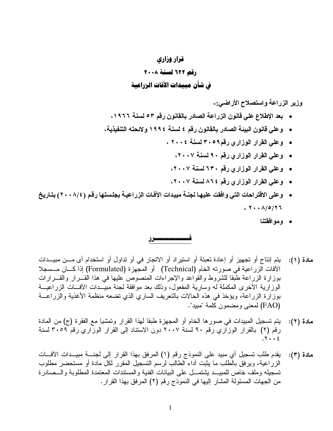## قرار وزاري دقم ٢٢٢ لسنة ٢٠٠٨ في شأن مبيدات الآفات الزراعية

وزير الزراعة واستصلاح الأراضي:-

- بعد الإطلاع علي قانون الزراعة الصادر بالقانون رقم ٥٣ لسنة ١٩٦٦،
- وعلي قانون البيئة الصادر بالقانون رقم ٤ لسنة ١٩٩٤ ولائحته التنفيذية،
	- وعلي القرار الوزاري رقم٢٠٥٩ لسنة ٢٠٠٤ ،
		- وعلي القرار الوزاري رقم ٩٠ لسنة ٢٠٠٧،
	- وعلي القرار الوزاري رقع ٦٣٠ لسنة ٢٠٠٧،
	- وعلي القرار الوزاري رقم ٨٦٤ لسنة ٢٠٠٧،
- وعلى الاقتراحات التي وافقت عليها لجنــة مبيدات الآفـات الزراعيــة بجلستها رقم (٢٠٠٨/٤) بتـاريخ ، ٢٠٠٨ ٢٦/٥/
	- وموافقتنا

----------------

- دة (١): يتم إنتاج أو تجهيز أو إعادة تعبئة أو استيراد أو الاتجار في أو تداول أو استخدام أى مـــن مبيـــدات مادة (١): الأفات الزراعية في صورته الخام (Technical) أو المجهزة (Formulated) إذا كـــان مـــسجلا بوزارة الزراعة طبقا للشروط والقواعد والإجراءات المنصوص عليها في هذا القـــرار والقـــرارات الوزارية الأخرى المكملة له وسارية المفعول، وذلك بعد موافقة لجنة مبيــدات الأفـــات الزراعيـــة بوزارة الزراعة، ويؤخذ في هذه الحالات بالنعريف الساري الذي نضعه منظمة الأغذية والزراعـــة (FAO) لمعنى ومضمون كلمة "مببد".
- مادة (٢): يتم تسجيل المبيدات في صور ها الخام أو المجهزة طبقا لهذا القرار وتمشيا مع الفقرة (ج) من المادة رقم (٢) بالقرار الوزاري رقم ٩٠ لسنة ٢٠٠٧ دون الاستناد إلى القرار الوزاري رقم ٣٠٥٩ لسنة  $.7.66$
- دة (٣): يقدم طلب تسجيل أي مبيد على النموذج رقم (١) المرفق بهذا القرار إلى لجنـــة مبيـــدات الأفـــات مادة (٣): الزراعية، ويرفق بالطلب ما يثبت أداء الطالب لرسم النسجيل المقرر لكل مادة أو مستحضر مطلوب تسجيله وملف خاص للمبيـــد بشتمـــل علـى البيانـات الفنية والمستندات المعتمدة المطلوبـة والـــصـادرة من الجهات المسئولة المشار إليها في النموذج رقم (٢) المرفق بهذا القرار .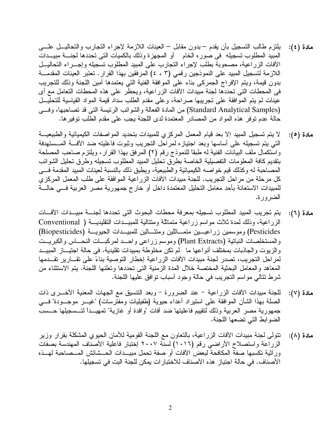- مادة (٤): بلتزم طالب التسجيل بأن يقدم بدون مقابل العينات اللازمة لإجراء التجارب والتحاليـــل علــــى المبيد المطلوب تسجيله في صور ه الخام أو المجهزة وذلك بالكميات التي تحددها لجنــــة مبيـــدات الأفات الزراعية، مصحوبة بطلب لإجراء النجارب على المبيد المطلوب تسجيله وإجـــراء النحاليـــل اللازمة لتسجيل المبيد على النموذجين رقمي (٢ ، ٤) المرفقين بهذا القرار . تعتبر العينات المقدمـــة بدون قيمة، ويتم الإفراج الجمركـي بناء علـي الموافقة الفنية التي يعتمدها أمين اللجنة وذلك للتجريب في المحطات التي تحددها لجنة مبيدات الأفات الزراعية، ويحظر على هذه المحطات التعامل مع أي عينات لم يتم الموافقة على تجريبها صراحة، وعلى مقدم الطلب سداد قيمة المواد القياسية للتحليـــل (Standard Analytical Samples) من المادة الفعالة والشوائب الرئيسة التي قد تصاحبها، وفسي حالة عدم توفر هذه المواد من المصادر المعتمدة لدى اللجنة بجب على مقدم الطلب توفير ها.
- دة (٥): لا يتم تسجيل المبيد إلا بعد قيام المعمل المركزي للمبيدات بتحديد المواصفات الكيميائية والطبيعيـــة مادة (٥): التي يتم تسجيله على أساسها وبعد اجتيازه لمراحل التجريب وثبوت فاعليته ضد الأفسة المسستهدفة واستكمال ملف البيانات الفنية له طبقًا للنموذج رقم (٢) المرفق بهذا القرار ، ويلتزم صـاحب المصلحة بتقديم كافة المعلومات التفصيلية الخاصة بطرق تحليل المبيد المطلوب تسجيله وطرق تحليل الشوائب المصـاحبة لـه وكذلك قيم خواصـه الكيميائية والطبيعية، ويطبق ذلك بالنسبة لعينات المبيد المقدمة فـــي كل مرحلة من مراحل التجريب. للجنة مبيدات الأفات الزراعية الموافقة على طلب المعمل المركزي للمبيدات الاستعانة بأحد معامل التحليل المعتمدة داخل أو خارج جمهورية مصر العربية فـــي حالــــة الضرورة.
- مادة (٦): يتم تجريب المبيد المطلوب تسجيله بمعرفة محطات البحوث التي تحددها لجنــــة مبيـــدات الأفــــات الزراعية، وذلك لمدة ثلاث مواسم زراعية متماثلة ومتتالية للمبيـــدات النقليديـــة ( Conventional Pesticides) وموسمين زراعيـــين متمـــاثلين ومنتـــالين للمبيـــدات الحيويـــة (Biopesticides) والمستخلصات النباتية (Plant Extracts) وموسم زراعي واحــد لمركبـــات النحــــاس والكبريـــت والزيوت والجاذبات بمختلف أنواعها ما لم نكن مخلوطة بمبيدات نقليدية. في حالة اجتيـــاز المبيـــد لمراحل التجريب، تصدر لجنة مبيدات الأفات الزراعية إخطار التوصية بناءً على تقـــارير تقـــدمها المعاهد والمعامل البحثية المختصة خلال المدة الزمنية التي تحددها وتعلنها اللجنة. يتم الاستثناء من شرط نتالي مواسم النجريب في حالة وجود أسباب نوافق عليها اللجنة.
- مادة (٧): للجنة مبيدات الأفات الزراعية عند الضرورة وبعد النتسيق مع الجهات المعنية الأخـــرى ذات الصلة بهذا الشأن الموافقة على استيراد أعداء حيوية (طفيليات ومفترسات) "غيــــر موجــــودة" فــــي جمهورية مصر العربية وذلك لتقييم فاعليتها ضد أفات "وافدة أو غازية" تمهيـــدا لتـــسجيلها حـــسب الضوابط التي تضعها اللجنة.
- دة (٨): تتولَّى لجنة مبيدات الأفات الزراعية، بالتعاون مع اللجنة القومية للأمان الحيوي المشكلة بقرار وزير مادة (۸): الزراعة واستصلاح الأراضي رقم (١٠١٦) لسنة ٢٠٠٧ إختبار فاعلية الأصناف المهندسة بصفات وراثية نكسبها صفة المكافحة لبعض الأفات أو صفة نحمل مبيــدات الـمــشائش المـــصـاحبة لـهـــذه الأصناف. في حالة اجتياز هذه الأصناف للاختبار ات يمكن للجنة البت في تسجيلها.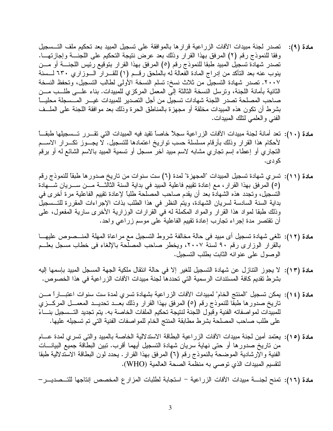- مادة (٩): تصدر لجنة مبيدات الأفات الزراعية قرارها بالموافقة على تسجيل المبيد بعد تحكيم ملف التــسجيل وفقا للنموذج رقم (٢) المرفق بهذا القرار وذلك بعد عرض نتيجة التحكيم على اللجنة وإجازتهـا. تصدر شهادة تسجيل المبيد طبقا للنموذج رقم (٥) المرفق بهذا القرار بتوقيع رئيس اللجنــــة أو مـــن ينوب عنه بعد التأكد من إدراج المادة الفعالة له بالملحق رقــم (١) للقـــرار الـــوزاري ٦٣٠ لـــسنة ٢٠٠٧. تصدر شهادة التسجيل من ثلاث نسخ: تسلم النسخة الأولى لطالب التسجيل، وتحفظ النسخة الثانية بأمانة اللجنة، ونرسل النسخة الثالثة إلى المعمل المركزي للمبيدات. بناء علـــي طلـــب مـــن صاحب المصلحة تصدر اللجنة شهادات تسجيل من أجل التصدير للمبيدات غيـــر المـــسجلة محليــــا بشرط أن نكون هذه المبيدات مخلقة أو مجهزة بالمناطق الحرة وذلك بعد موافقة اللجنة على الملــف الفني والعلمي لنلك المبيدات.
- مادة (١٠): تعد أمانة لجنة مبيدات الآفات الزراعية سجلاً خاصاً نقيد فيه المبيدات التي تقـــرر تـــسجيلها طبقـــا لأحكام هذا القرار وذلك بأرقام مسلسلة حسب نواريخ اعتمادها للتسجيل. لا يجــوز نكـــرار الاســـم النجاري أو إعطاء إسم نجاري مشابه لاسم مبيد آخر مسجل أو نسمية المبيد بالاسم الشائع له أو برقم کو دی.
- مادة (١١): تسري شهادة تسجيل المبيدات "المجهزة" لمدة (٦) ست سنوات من تاريخ صدور ها طبقًا للنموذج رقم (٥) المرفق بهذا القرار ، مع إعادة تقييم فاعلية المبيد في بداية السنة الثالثـــة مـــن ســـريان شــــهادة التسجيل، وتجدد هذه الشهادة بعد أن يقدم صاحب المصلحة طلبًا لإعادة تقييم الفاعلية مرة أخرى في بداية السنة السادسة لسريان الشهادة، ويتم النظر في هذا الطلب بذات الإجراءات المقررة للتــسجيل وذلك طبقًا لمواد هذا القرار والمواد المكملة له في القرارات الوزارية الأخرى سارية المفعول، على أن نقتصر مدة إجراء تجارب إعادة نقييم الفاعلية على موسم زراعي واحد.
- مادة (١٢): تلغي شهادة تسجيل أي مبيد في حالة مخالفة شروط التسجيل مع مراعاة المهلة المنـــصـوص عليهـــا بالقرار الوزاري رقم ٩٠ لسنة ٢٠٠٧، ويخطر صاحب المصلحة بالإلغاء في خطاب مسجل بعلــم الوصول على عنوانه الثابت بطلب التسجيل.
- مادة (١٣): لا يجوز النتازل عن شهادة التسجيل للغير إلا في حالة انتقال ملكية الجهة المسجل المبيد بإسمها إليه بشرط نقديم كافة المستندات الرسمية التي تحددها لجنة مبيدات الآفات الزر اعية في هذا الخصوص.
- ملدة (١٤): يمكن تسجيل "المنتج الخام" لمبيدات الأفات الزراعية بشهادة تسري لمدة ست سنوات اعتبـــاراً مـــن تاريخ صدورها طبَّقًا للنموذج رقم (٥) المرفق بهذا القرار وذلك بعــد تحديـــد المعمـــل المركـــزي للمبيدات لمواصفاته الفنية وقبول اللجنة لنتيجة تحكيم الملفات الخاصة به. يتم تجديد التـــسجيل بنــــاءً على طلب صاحب المصلحة بشرط مطابقة المنتج الخام للمواصفات الفنية التي تم تسجيله عليها.
- مادة (١٥): يعتمد أمين لجنة مبيدات الأفات الزراعية البطاقة الاستدلالية الخاصة بالمبيد والتي تسرى لمدة عـــام من ناريخ صدورها أو حتى نهاية سريان شهادة التسجيل أيهما أقرب. نبين البطاقة جميع البيانـــات الفنية والإرشادية الموضحة بالنموذج رقم (٦) المرفق بهذا القرار . يحدد لون البطاقة الاستدلالية طبقا لتقسيم المبيدات الذي توصبي به منظمة الصحة العالمية (WHO).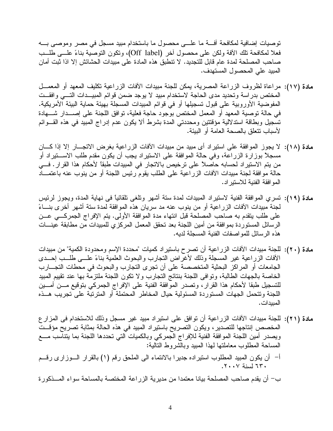توصيات إضافية لمكافحة أفسة ما علسى محصول ما باستخدام مبيد مسجل في مصر وموصبي بسه فعلا لمكافحة نلك الأفة ولكن على محصول أخر (Off label)، ونكون النوصية بناءً علـــي طلـــب صـاحب المصلحة لمدة عام قابل للتجديد. لا نتطبق هذه المادة على مبيدات الحشائش إلا اذا ثبت أمان المبيد على المحصول المستهدف.

- مادة (١٧): مراعاة لظروف الزراعة المصرية، يمكن للجنة مبيدات الأفات الزراعية نكليف المعهد أو المعمـــل المختص بدر اسة وتحديد مدى الحاجة لاستخدام مبيد لا يوجد ضمن قوائم المبيــدات التـــى وافقــت المفوضية الأوروبية على قبول تسجيلها أو في قوائم المبيدات المسجلة بهيئة حماية البيئة الأمريكية. في حالة توصية المعهد أو المعمل المختص بوجود حاجة فعلية، توافق اللجنة على إصـــدار شــــهادة تسجيل وبطاقة استدلالية مؤقتتين ومحددتي المدة بشرط ألا يكون عدم إدراج المبيد في هذه القـــوائم لأسباب نتعلق بالصحة العامة أو الببئة.
- مادة (١٨): لا يجوز الموافقة على استيراد أي مبيد من مبيدات الآفات الزراعية بغرض الاتجـــار إلا إذا كــــان مسجلاً بوزارة الزراعة، وفي حالة الموافقة على الاستيراد يجب أن يكون مقدم طلب الاســـتيراد أو من يتم الاستير اد لحسابه حاصلاً على ترخيص بالاتجار في المبيدات طبقاً لأحكام هذا القر ار . فـــي حالة موافقة لجنة مبيدات الأفات الزراعية على الطلب يقوم رئيس اللجنة أو من ينوب عنه باعتمـــاد المو افقة الفنية للاستير اد.
- مادة (١٩): نَسري الموافقة الفنية لاستيراد المبيدات لمدة سنة أشهر ونلغي نلقائياً في نهاية المدة، ويجوز لرئيس لجنة مبيدات الآفات الزراعية أو من ينوب عنه مد سريان هذه الموافقة لمدة ستة أشهر أخرى بنساءً على طلب يتقدم به صاحب المصلحة قبل انتهاء مدة الموافقة الأولى. يتم الإفراج الجمركي عــن الرسائل المستوردة بموافقة من أمين اللجنة بعد تحقق المعمل المركزي للمبيدات من مطابقة عينــــات هذه الرسائل للمو اصفات الفنية المسجلة لديه.
- ملدة (٢٠): للجنة مبيدات الأفات الزراعية أن تصرح باستيراد كميات "محددة الإسم ومحدودة الكمية" من مبيدات الأفات الزراعية غير المسجلة وذلك لأغراض النجارب والبحوث العلمية بناءً علـــي طلـــب إحـــدى الجامعات أو المراكز البحثية المتخصصة على أن تجرى التجارب والبحوث في محطات التجـــارب الخاصة بالجهات الطالبة، وتوافي اللجنة بنتائج التجارب ولا تكون اللجنة ملتزمة بها عند تقييم المبيد للتسجيل طبقا لأحكام هذا القرار ، وتصدر الموافقة الفنية على الإفراج الجمركي بتوقيع مـــن أمـــين اللجنة ونتحمل الجهات المستوردة المسئولية حيال المخاطر المحتملة أو المترتبة على تجريب هــذه المبدات.
- مادة (٢١): للجنة مبيدات الأفات الزراعية أن توافق على استيراد مبيد غير مسجل وذلك للاستخدام في المزار ع المخصص إنتاجها للتصدير ، ويكون التصريح باستيراد المبيد في هذه الحالة بمثابة تصريح مؤقــت ويصدر أمين اللجنة الموافقة الفنية للإفراج الجمركي وبالكميات التي تحددها اللجنة بما يتناسب مـــع المساحة المطلوب معاملتها لهذا المبيد وبالشروط التالية:
- أ– أن يكون المبيد المطلوب استيراده جديرًا بالانتماء الى الملحق رقم (١) بالقرار الـــوزاري رقـــم ٦٣٠ لسنة ٢٠٠٧.

ب– أن يقدم صاحب المصلحة بيانا معتمدا من مديرية الزراعة المختصة بالمساحة سواء المـــذكورة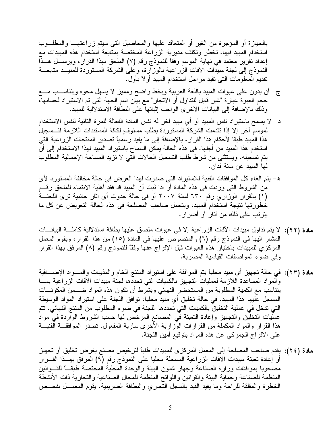بالحيازة أو المؤجرة من الغير أو المتعاقد عليها والمحاصيل التبي سيتم زراعتهــــا والمطلـــوب استخدام المبيد فيها. تخطر وتكلف مديرية الزراعة المختصة بمتابعة استخدام هذه المبيدات مع إعداد نقرير معتمد في نهاية الموسم وفقًا للنموذج رقم (٧) الملحق بهذا القرار، ويرســـل هـــذا النموذج إلى لجنة مبيدات الأفات الزراعية بالوزارة، وعلى الشركة المستوردة للمبيــد متابعـــة نقديم المعلومات التبي نفيد مراحل استخدام المبيد أولاً بأول.

- ج– أن يدون علمي عبوات المبيد باللغة العربية وبخط واضح ومميز لا يسهل محوه ويتناســـب مـــع حجم العبوة عبارة "غير قابل للتداول أو الاتجار" مع بيان اسم الجهة التي تم الاستير اد لحسابها، وذلك بالإضافة إلى البيانات الأخرى الواجب إثباتها على البطاقة الاستدلالية للمبيد.
- د– لا يسمح باستير اد نفس المبيد أو أي مبيد آخر له نفس المادة الفعالة للمرة الثانية لنفس الاستخدام لموسمِّ آخر إلا إذا تقدمت الشركة المستوردة بطلب مستوفٍ لكافة المستندات اللازمة لتــسجيلُ هذا المبيد طبقا لأحكام هذا القرار ، بالإضافة إلى ما يفيد رسمياً تصدير المنتجات الزراعية التي استخدم هذا المبيد من أجلها. في هذه الحالة يمكن السماح باستير اد المبيد لهذا الاستخدام إلى أن يتم تسجيله. ويستثني من شرط طلب التسجيل الحالات التي لا تزيد المساحة الإجمالية المطلوب لها المبيد عن مائة فدان.
- ه– يتم الغاء كل الموافقات الفنية للاستيراد التي صدرت لهذا الغرض في حالة مخالفة المستورد لأي من الشروط التـي وردت فـي هذه المـادة أو اذا ثبت أن المبيد قد فقد أهلية الانتماء للملحق رقـــم (١) بالقرار الوزاري رقم ٦٣٠ لسنة ٢٠٠٧ أو في حالة حدوث أي أثار جانبية نرى اللجنة خطورتها نتيجة استخدام المبيد، ويتحمل صاحب المصلحة في هذه الحالة التعويض عن كل ما يترتب على ذلك من أثار أو أضرار .
- مادة (٢٢): لا يتم تداول مبيدات الأفات الزراعية إلا في عبوات ملصق عليها بطاقة استدلالية كاملــــة البيانــــات المشار اليها في النموذج رقم (٦) والمنصوص عليها في المادة (١٥) من هذا القرار، ويقوم المعمل المركزي للمبيدات باختبار هذه العبوات قبل الإفراج عنها وفقاً للنموذج رقم (٨) المرفق بهذا القرار وفي ضوء المواصفات القياسية المصرية.
- مادة (٢٣): في حالة تجهيز أي مبيد محليًا يتم الموافقة على استيراد المنتج الخام والمذيبات والمـــواد الإضــــافية والمواد المساعدة اللازمة لعمليات النجهيز بالكميات النبي نحددها لجنة مبيدات الأفات الزراعية بمسا يتناسب مع الكمية المطلوبة من المستحضر النهائي وبشرط أن نكون هذه المواد ضــــمن المكونــــات المسجل عليها هذا المبيد. في حالة تخليق أي مبيد محليا، توافق اللجنة على استيراد المواد الوسيطة التي تدخل في عملية التخليق بالكميات التي تحددها اللجنة في ضوء المطلوب من المنتج النهائي. تتم عمليات التخليق والتجهيز وإعادة التعبئة في المصانع المرخص لها حسب الشروط الواردة في مواد هذا القرار والمواد المكملة من القرارات الوزارية الأخرى سارية المفعول. تصدر الموافقـــة الفنيـــة على الافراج الجمركي عن هذه المواد بنوقيع أمين اللجنة.
- مادة (٢٤): يقدم صاحب المصلحة إلى المعمل المركز ى للمبيدات طلباً لترخيص مصنع بغرض تخليق أو تجهيز أو إعادة تعبئة مبيدات الآفات الزراعية المسجلة محليا على النموذج رقم (٩) المرفق بهــذا القـــرار مصحوبا بموافقات وزارة الصناعة وجهاز شئون البيئة والوحدة المحلية المختصة طبقـــا للقـــوانين المنظمة للصناعة وحماية البيئة والقوانين واللوائح المنظمة للمحال الصناعية والتجارية ذات الأنشطة الخطرة والمقلقة للراحة وما يفيد القيد بالسجل النجاري والبطاقة الضريبية. يقوم المعمــل بفحــص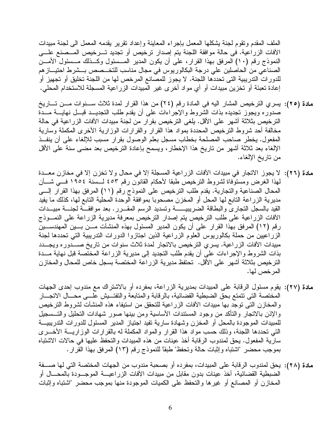الملف المقدم ونقوم لجنة بشكلها المعمل بإجراء المعاينة وإعداد نقرير يقدمه المعمل البي لجنة مبيدات الأفات الزراعية. في حالة موافقة اللجنة يتم إصدار نرخيص أو تجديد تـــرخيص المـــصنع علــــي النموذج رقم (١٠) المرفق بهذا القرار، على أن يكون المدير المـــسئول وكـــذلك مـــسئول الأمـــن الصناعي من الحاصلين على درجة البكالوريوس في مجال مناسب للتخـــصص بـــشرط احتيـــاز هم للدورات التدريبية التي تحددها اللجنة. لا يجوز للمصانع المرخص لها من اللجنة تخليق أو تجهيز أو إعادة نعبئة أو نخزين مبيدات أو أي مواد أخرى غير المبيدات الزراعية المسجلة للاستخدام المحلي.

- مادة (٢٥): يسري الترخيص المشار اليه في المادة رقم (٢٤) من هذا القرار لمدة ثلاث ســـنوات مـــن تـــاريخ صدوره ويجوز نجديده بذات الشروط والإجراءات على أن يقدم طلب التجديـــد قبـــل نـهايــــة مـــدّة الترخيص بثلاثة أشهر على الأقل. يلغي الترخيص بقرار من لجنة مبيدات الآفات الزراعية في حالة مخالفة أحد شروط النرخيص المحددة بمواد هذا القرار والقرارات الوزارية الأخرى المكملة وسارية المفعول. يخطر صاحب المصلحة بخطاب مسجل بعلم الوصول بقرار مسبب للإلغاء على أن ينفـذ الإلغاء بعد ثلاثة أشهر من ناريخ هذا الإخطار، ويسمح بإعادة النرخيص بعد مضـي سنة علـي الأقل من تاريخ الإلغاء.
- مادة (٢٦): لا يجوز الاتجار في مبيدات الأفات الزراعية المسجلة إلا في محال ولا تخزن إلا في مخازن معـــدة لمهذا الغرض ومستوفاة لشروط النرخيص طبقا لأحكام القانون رقم ٤٥٣ لـــسنة ١٩٥٤ فـــي شــــأن المحال الصناعية والتجارية. يقدم طلب الترخيص على النموذج رقم (١١) المرفق بهذا القرار إلى مديرية الزراعة التابع لـها المـحل أو المخزن مصـحوبـا بموافقة الوحدة المحلية التابـع لـها، كذلك مـا يفيد القيد بالسجل النجاري والبطاقة الضريبيــــــة وتسديد الرسم المقــــرر . بعد موافقـــة لجنــــة مبيـــدات الأفات الزراعية على طلب الترخيص يتم إصدار الترخيص بمعرفة مديرية الزراعة على النمـــوذج رِ قم (١٢) المرفق بهذا القرار ً على أن يكون المدير المسئول بهذه المنشآت مـــن بـــين المهندســـين الزراعيين من حملة بكالوريوس العلوم الزراعية الذين اجتازوا الدورات التدريبية التي تحددها لجنة مبيدات الأفات الزراعية. يسري الترخيص بالاتجار لمدة ثلاث سنوات من تاريخ صــــدوره ويجـــدد بذات الشروط والإجراءات على أن يقدم طلب النجديد إلى مديرية الزراعة المختصة قبل نهاية مـــدة الترخيص بثلاثة أشهر على الأقل. تحتفظ مديرية الزراعة المختصة بسجل خاص للمحال والمخازن المر خص لها.
- مادة (٢٧): يقوم مسئول الرقابة على المبيدات بمديرية الزراعة، بمفرده أو بالاشتراك مع مندوب إحدى الجهات المختصة التي نتمتع بحق الضبطية القضائية، بالرقابة والمتابعة والتفتــبش علـــي محـــال الاتجـــار والمخازن التي توجد بها مبيدات الآفات الزراعية للتحقق من استيفاء هذه المنشآت لشروط الترخيص والإذن بالاتجار والتأكد من وجود المستندات الأساسية ومن بينها صور شهادات التحليل والتــسجيل للمبيدات الموجودة بالمحل أو المخزن وشهادة سارية نفيد اجتياز المدير المسئول للدورات التدريبيــــة التبي تحددها اللجنة، وذلك حسب مواد هذا القرار والمواد المكملة له بالقرارات الوزاريــــة الأخــــرى سارية المفعول. يحق لمندوب الرقابة أخذ عينات من هذه المبيدات والتحفظ عليها في حالات الاشتباه بموجب محضر "اشتباه وإثبات حالة وتحفظ" طبقاً للنموذج رقم (١٣) المرفق بهذا القرار .
- مادة (٢٨): يحق لمندوب الرقابة على المبيدات، بمفرده أو بصحبة مندوب من الجهات المختصة التي لها صــــفة الضبطية القضائية، أخذ عينات بدون مقابل من مبيدات الأفات الزراعيــــة الموجـــودة بالمحــــال أو المخازن أو المصانع أو غيرها والنحفظ على الكميات الموجودة منها بموجب محضر "اشتباه وإثبات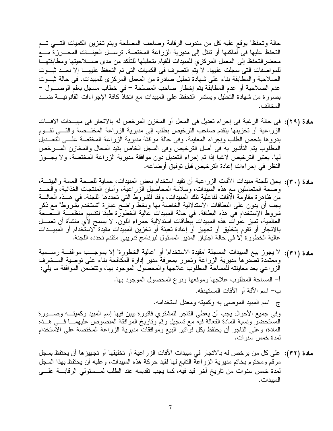حالة وتحفظ" يوقع عليه كل من مندوب الرقابة وصاحب المصلحة ويتم تخزين الكميات التسي تسم التحفظ عليها في أماكنها أو نتقل إلى مديرية الزراعة المختصة. نرســـل العينـــات المحـــرزة مــــع محضر التحفظ إلىي المعمل المركزي للمبيدات للقيام بتحليلها للتأكد من مدى صــــلاحيتها ومطابقتهــــا للمواصفات التي سجلت عليها. لا يتم التصرف في الكميات التي تم التحفظ عليهـــا إلا بعـــد ثبـــوت الصلاحية والمطابقة بناء على شهادة تحليل صادرة من المعمل المركزي للمبيدات. في حالة ثبـــوت عدم الصلاحية أو عدم المطابقة يتم إخطار صاحب المصلحة – في خطاب مسجل بعلم الوصــــول – بصورة من شهادة التحليل ويستمر التحفظ على المبيدات مع اتخاذ كافة الإجراءات القانونيــــة ضــــد المخالف .

- مادة (٢٩): في حالة الرغبة في إجراء تعديل في المحل أو المخزن المرخص له بالاتجار في مبيــدات الأفـــات الزراعية أو تخزينها يتقدم صاحب الترخيص بطلب إلى مديرية الزراعة المختــصـة والتـــى تقـــوم بدروها بفحص الطلب وإجراء المعاينة. وفي حالة موافقة مديرية الزراعة المختصة علـــي التعـــديلُ المطلوب يتم التأشير به في أصل الترخيص وفي السجل الخاص بقيد المحال والمخازن المسرخص لمها. يعتبر الترخيص لاغيا إذا تم إجراء التعديل دون موافقة مديرية الزراعة المختصة، ولا يجـــوز النظر في إجراءات إعادة الترخيص قبل توفيق أوضاعه.
- مادة (٣٠): يحق للجنة مبيدات الأفات الزراعية أن تقيد استخدام بعض المبيدات، حماية للصحة العامة والبيئـــة، وصحة المتعاملين مع هذه المبيدات، وسلامة المحاصيل الزراعية، وأمان المنتجات الغذائية، والحـــد من ظاهرة مقاومة الآفات لفاعلية تلك المبيدات، وفقا للشروط التي تحددها اللجنة. في هـــذه الحالــــة يجب أن يدون على البطاقات الاستدلالية الخاصة بها وبخط واضبح عبارة "تستخدم بُشروط" مع ذكر شروط الإستخدام في هذه البطاقة. في حالة المبيدات عالية الخطورة طبقا لتقسيم منظمـــة الـــصـحة العالمية، تميز عبوات هذه المبيدات ببطاقات استدلالية حمراء اللون. لا يسمح لأي منشأة أن تعمـــل بالاتجار أو نقوم بتخليق أو تجهيز أو إعادة تعبئة أو تخزين المبيدات مقيدة آلاستخدام أو المبيـــدات عالية الخطورة إلا في حالة اجتياز المدير المسئول لبرنامج ندريبي متقدم تحدده اللجنة.
- مادة (٣١): لا يجوز بيع المبيدات المسجلة "مقيدة الاستخدام" أو "عالية الخطورة" إلا بموجــب موافقـــة رســـمية ومعتمدة تصدرها مديرية الزراعة ونحرر بمعرفة مدير إدارة المكافحة بناء على نوصية المـــشرف الزراعي بعد معاينته للمساحة المطلوب علاجها والمحصول الموجود بها، ونتضمن الموافقة ما يلي: أ– المساحة المطلوب علاجها وموقعها ونوع المحصول الموجود بها. ب– اسم الآفة أو الآفات المستهدفه. ج– اسم المبيد الموصبي به وكميته ومعدل استخدامه. وفي جميع الأحوال يجب أن يعطي الناجر للمشتري فاتورة يبين فيها إسم المبيد وكميتــــه وصـــــورة المستحضر ونسبة المادة الفعالة فيه مع تسجيل رقم وناريخ الموافقة المنصوص عليهمـــا فـــي هـــذه المادة، وعلى الناجر أن يحتفظ بكل فوَّانير البيع وموافقاتٌ مديرية الزراعة المختصة على الأستخدام لمدة خمس سنو ات.
- مادة (٣٢): على كل من يرخص له بالاتجار في مبيدات الآفات الزراعية أو تخليقها أو تجهيزها أن يحتفظ بسجل مرقم ومختوم بخاتم مديرية الزراعة التابع لمها لقيد حركة هذه المبيدات، وعليه أن يحتفظ بهذا السجل لمدة خمس سنوات من تاريخ أخر قيد فيه، كما يجب تقديمه عند الطلب لمـــسئولي الرقابــــة علــــي المبدات.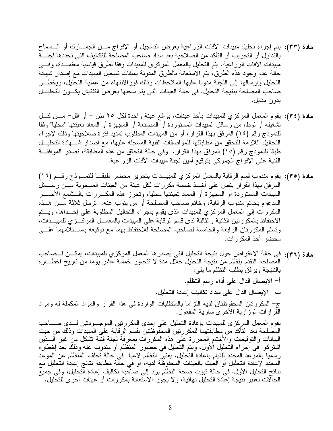- مادة (٣٣): يتم إجراء تحليل مبيدات الأفات الزراعية بغرض التسجيل أو الإفراج مـــن الجمـــارك أو الـــسماح بالنداول أو النجريب أو الناكد من الصلاحية بعد سداد صاحب المصلحة للنكاليف النبي تحددها لجنسة مبيدات الأفات الزراعية. يتم التحليل بالمعمل المركزى للمبيدات وفقا لطرق قياسية معتمـــدة، وفـــي حالة عدم وجود هذه الطرق، يتم الاستعانة بالطرق المدونة بملفات تسجيل المبيدات مع إصدار شهادة التحليل وإرسالها إلىي اللجنة مدونا عليها الملاحظات وذلك فورالانتهاء من عملية التحليل، ويخطـــر صاحب المصلحة بنتيجة التحليل. في حالة العينات التي يتم سحبها بغرض التفتيش يكـــون التحليـــل بدون مقابل.
- مادة (٣٤): يقوم المعمل المركزي للمبيدات بأخذ عينات، بواقع عينة واحدة لكل ٢٥ طن أو أقل– مـــن كـــل تشغيله أو لوط، من رسائل المبيدات المستوردة أو المصنعة أو المجهزة أو المعاد تعبئتها "محلياً" وفقاً للنموذج رقم (١٤) المرفق بهذا القرار ، أو من المبيدات المطلوب تمديد فترة صلاحيتها وذلك لإجراء التحاليل اللازمة للتحقق من مطابقتها للمواصفات الفنية المسجله عليها، مع إصدار شـــهادة التحليـــل طبقا للنموذج رقم (١٥) المرفق بهذا القرار . وفي حالة النحقق من هذه المطابقة، نصدر الموافقـــة الفنية على الإفراج الجمركي بتوقيع أمين لجنة مبيدات الأفات الزراعية.
- مادة (٣٥): يقوم مندوب قسم الرقابة بالمعمل المركزي للمبيــدات بتحرير محضر طبقــا للنمــوذج رقــم (١٦) المرفق بهذا القرار ينص على أخــذ خمسة مكررات لكل عينة من العينات المسحوبة مـــن رســـائل المبيدات المستوردة أو المجهزة أو المعاد تعبئتها محليا، وتحرز هذه المكـــررات بالـــشمع الأحمــــر المدعوم بخاتم مندوب الرقابة، وخاتم صاحب المصلحة أو من ينوب عنه. ترسل ثلاثة مـــن هـــذه المكررات إلى المعمل المركزي للمبيدات الذي يقوم باجراء التحاليل المطلوبة على إحــداها، ويـــتم الاحتفاظ بالمكررتين الثانية والثالثة لدى فسم الرقابة على المبيدات بالمعمـــل المركـــزي للمبيـــدات، ونسلم المكررتان الرابعة والخامسة لصاحب المصلحة للاحتفاظ بهما مع نوقيعه باســـنلامهما علــــي محضر أخذ المكررات.
- مادة (٣٦): في حالة الاعتراض حول نتيجة التحليل التي يصدر ها المعمل المركزي للمبيدات، يمكــن لـــصـاحب المصلحة النقدم بتظلم من نتيجة التحليل خلَّال مدة لا نتجاوز خمسة عُشر بوما من ناريخ إخطـــار ه بالنتيجة ويرفق بطلب التظلم ما بلبي: أ– الإيصال الدال على أداء ر سم التظلم. ب– الإيصال الدال على سداد تكاليف إعادة التحليل. ج– المكررتان المحفوظتان لديه النزاما بالمنطلبات الواردة في هذا القرار والمواد المكملة له ومواد الُّقرار ات الوزارية الأخرى سارية المفعول. يقوم المعمل المركز ي للمبيدات بإعادة التحليل على إحدى المكر ر نين الموجـــودنين لـــدى صـــــاحب المصلحة بعد النأكد من مطابقتهما للمكررتين المحفوظتين بقسم الرقابة على المبيدات وذلك من حيث البيانات والتوقيعات والأختام المحررة على هذه المكررات بمعرفة لجنة فنية نشكل من غير السذين اشتركوا في إجراء التحليل الأول، ويتم التحليل في حضور المنظلم أو مندوب عنه وذلك بعد إخطاره رسميا بالموعد المحدد للقيام بإعادة التحليل. يعتبرُّ النظلم لاغيا ۖ في حالة تخلف المنظلم عن الموعد الْمَحْدْد لإعادة التحليل أو العبْثُ بالعينات المحفوظَّة لديه، أو في حالَّة مطابقة نتائج إعادة التحليل مع نتائج التحليل الأول. في حالة ثبوت صحة النظلم برد إلى صـاحبه نكاليف إعادة التحليل، وفي جميعٌ الحالات نعتبر نتيجة إعادة النحليل نهائية، ولا يجوز الاستعانة بمكررات أو عينات أخرى للتحليل. ُ